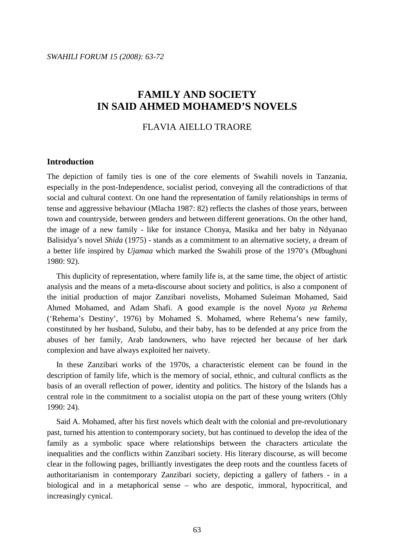# FLAVIA AIELLO TRAORE

#### **Introduction**

The depiction of family ties is one of the core elements of Swahili novels in Tanzania, especially in the post-Independence, socialist period, conveying all the contradictions of that social and cultural context. On one hand the representation of family relationships in terms of tense and aggressive behaviour (Mlacha 1987: 82) reflects the clashes of those years, between town and countryside, between genders and between different generations. On the other hand, the image of a new family - like for instance Chonya, Masika and her baby in Ndyanao Balisidya's novel *Shida* (1975) - stands as a commitment to an alternative society, a dream of a better life inspired by *Ujamaa* which marked the Swahili prose of the 1970's (Mbughuni 1980: 92).

 This duplicity of representation, where family life is, at the same time, the object of artistic analysis and the means of a meta-discourse about society and politics, is also a component of the initial production of major Zanzibari novelists, Mohamed Suleiman Mohamed, Said Ahmed Mohamed, and Adam Shafi. A good example is the novel *Nyota ya Rehema* ('Rehema's Destiny', 1976) by Mohamed S. Mohamed, where Rehema's new family, constituted by her husband, Sulubu, and their baby, has to be defended at any price from the abuses of her family, Arab landowners, who have rejected her because of her dark complexion and have always exploited her naivety.

 In these Zanzibari works of the 1970s, a characteristic element can be found in the description of family life, which is the memory of social, ethnic, and cultural conflicts as the basis of an overall reflection of power, identity and politics. The history of the Islands has a central role in the commitment to a socialist utopia on the part of these young writers (Ohly 1990: 24).

 Said A. Mohamed, after his first novels which dealt with the colonial and pre-revolutionary past, turned his attention to contemporary society, but has continued to develop the idea of the family as a symbolic space where relationships between the characters articulate the inequalities and the conflicts within Zanzibari society. His literary discourse, as will become clear in the following pages, brilliantly investigates the deep roots and the countless facets of authoritarianism in contemporary Zanzibari society, depicting a gallery of fathers - in a biological and in a metaphorical sense – who are despotic, immoral, hypocritical, and increasingly cynical.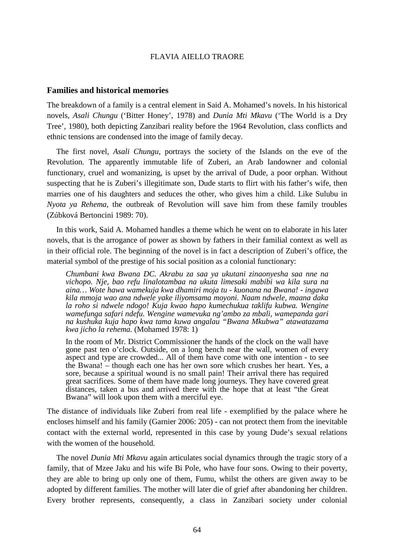#### **Families and historical memories**

The breakdown of a family is a central element in Said A. Mohamed's novels. In his historical novels, *Asali Chungu* ('Bitter Honey', 1978) and *Dunia Mti Mkavu* ('The World is a Dry Tree', 1980), both depicting Zanzibari reality before the 1964 Revolution, class conflicts and ethnic tensions are condensed into the image of family decay.

 The first novel, *Asali Chungu*, portrays the society of the Islands on the eve of the Revolution. The apparently immutable life of Zuberi, an Arab landowner and colonial functionary, cruel and womanizing, is upset by the arrival of Dude, a poor orphan. Without suspecting that he is Zuberi's illegitimate son, Dude starts to flirt with his father's wife, then marries one of his daughters and seduces the other, who gives him a child. Like Sulubu in *Nyota ya Rehema*, the outbreak of Revolution will save him from these family troubles (Zúbková Bertoncini 1989: 70).

 In this work, Said A. Mohamed handles a theme which he went on to elaborate in his later novels, that is the arrogance of power as shown by fathers in their familial context as well as in their official role. The beginning of the novel is in fact a description of Zuberi's office, the material symbol of the prestige of his social position as a colonial functionary:

*Chumbani kwa Bwana DC. Akrabu za saa ya ukutani zinaonyesha saa nne na vichopo. Nje, bao refu linalotambaa na ukuta limesaki mabibi wa kila sura na aina… Wote hawa wamekuja kwa dhamiri moja tu - kuonana na Bwana! - ingawa kila mmoja wao ana ndwele yake iliyomsama moyoni. Naam ndwele, maana daka la roho si ndwele ndogo! Kuja kwao hapo kumechukua taklifu kubwa. Wengine wamefunga safari ndefu. Wengine wamevuka ng'ambo za mbali, wamepanda gari na kushuka kuja hapo kwa tama kuwa angalau "Bwana Mkubwa" atawatazama kwa jicho la rehema.* (Mohamed 1978: 1)

In the room of Mr. District Commissioner the hands of the clock on the wall have gone past ten o'clock. Outside, on a long bench near the wall, women of every aspect and type are crowded... All of them have come with one intention - to see the Bwana! – though each one has her own sore which crushes her heart. Yes, a sore, because a spiritual wound is no small pain! Their arrival there has required great sacrifices. Some of them have made long journeys. They have covered great distances, taken a bus and arrived there with the hope that at least "the Great Bwana" will look upon them with a merciful eye.

The distance of individuals like Zuberi from real life - exemplified by the palace where he encloses himself and his family (Garnier 2006: 205) - can not protect them from the inevitable contact with the external world, represented in this case by young Dude's sexual relations with the women of the household.

 The novel *Dunia Mti Mkavu* again articulates social dynamics through the tragic story of a family, that of Mzee Jaku and his wife Bi Pole, who have four sons. Owing to their poverty, they are able to bring up only one of them, Fumu, whilst the others are given away to be adopted by different families. The mother will later die of grief after abandoning her children. Every brother represents, consequently, a class in Zanzibari society under colonial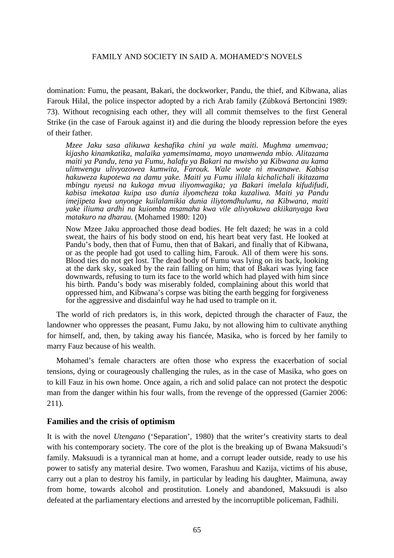domination: Fumu, the peasant, Bakari, the dockworker, Pandu, the thief, and Kibwana, alias Farouk Hilal, the police inspector adopted by a rich Arab family (Zúbková Bertoncini 1989: 73). Without recognising each other, they will all commit themselves to the first General Strike (in the case of Farouk against it) and die during the bloody repression before the eyes of their father.

*Mzee Jaku sasa alikuwa keshafika chini ya wale maiti. Mughma umemvaa; kijasho kinamkatika, malaika yamemsimama, moyo unamwenda mbio. Alitazama maiti ya Pandu, tena ya Fumu, halafu ya Bakari na mwisho ya Kibwana au kama ulimwengu ulivyozowea kumwita, Farouk. Wale wote ni mwanawe. Kabisa hakuweza kupotewa na damu yake. Maiti ya Fumu ililala kichalichali ikitazama mbingu nyeusi na kukoga mvua iliyomwagika; ya Bakari imelala kifudifudi, kabisa imekataa kuipa uso dunia ilyomcheza toka kuzaliwa. Maiti ya Pandu imejipeta kwa unyonge kuilalamikia dunia iliytomdhulumu, na Kibwana, maiti yake iliuma ardhi na kuiomba msamaha kwa vile alivyokuwa akiikanyaga kwa matakuro na dharau.* (Mohamed 1980: 120)

Now Mzee Jaku approached those dead bodies. He felt dazed; he was in a cold sweat, the hairs of his body stood on end, his heart beat very fast. He looked at Pandu's body, then that of Fumu, then that of Bakari, and finally that of Kibwana, or as the people had got used to calling him, Farouk. All of them were his sons. Blood ties do not get lost. The dead body of Fumu was lying on its back, looking at the dark sky, soaked by the rain falling on him; that of Bakari was lying face downwards, refusing to turn its face to the world which had played with him since his birth. Pandu's body was miserably folded, complaining about this world that oppressed him, and Kibwana's corpse was biting the earth begging for forgiveness for the aggressive and disdainful way he had used to trample on it.

 The world of rich predators is, in this work, depicted through the character of Fauz, the landowner who oppresses the peasant, Fumu Jaku, by not allowing him to cultivate anything for himself, and, then, by taking away his fiancée, Masika, who is forced by her family to marry Fauz because of his wealth.

 Mohamed's female characters are often those who express the exacerbation of social tensions, dying or courageously challenging the rules, as in the case of Masika, who goes on to kill Fauz in his own home. Once again, a rich and solid palace can not protect the despotic man from the danger within his four walls, from the revenge of the oppressed (Garnier 2006: 211).

# **Families and the crisis of optimism**

It is with the novel *Utengano* ('Separation', 1980) that the writer's creativity starts to deal with his contemporary society. The core of the plot is the breaking up of Bwana Maksuudi's family. Maksuudi is a tyrannical man at home, and a corrupt leader outside, ready to use his power to satisfy any material desire. Two women, Farashuu and Kazija, victims of his abuse, carry out a plan to destroy his family, in particular by leading his daughter, Maimuna, away from home, towards alcohol and prostitution. Lonely and abandoned, Maksuudi is also defeated at the parliamentary elections and arrested by the incorruptible policeman, Fadhili.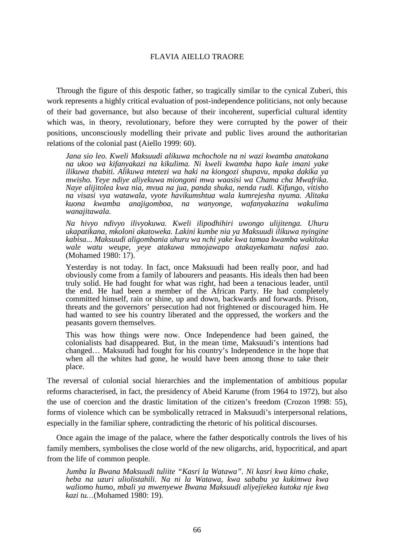Through the figure of this despotic father, so tragically similar to the cynical Zuberi, this work represents a highly critical evaluation of post-independence politicians, not only because of their bad governance, but also because of their incoherent, superficial cultural identity which was, in theory, revolutionary, before they were corrupted by the power of their positions, unconsciously modelling their private and public lives around the authoritarian relations of the colonial past (Aiello 1999: 60).

*Jana sio leo. Kweli Maksuudi alikuwa mchochole na ni wazi kwamba anatokana na ukoo wa kifanyakazi na kikulima. Ni kweli kwamba hapo kale imani yake ilikuwa thabiti. Alikuwa mtetezi wa haki na kiongozi shupavu, mpaka dakika ya mwisho. Yeye ndiye aliyekuwa miongoni mwa waasisi wa Chama cha Mwafrika. Naye alijitolea kwa nia, mvua na jua, panda shuka, nenda rudi. Kifungo, vitisho na visasi vya watawala, vyote havikumshtua wala kumrejesha nyuma. Alitaka kuona kwamba anajigomboa, na wanyonge, wafanyakazina wakulima wanajitawala.* 

*Na hivyo ndivyo ilivyokuwa. Kweli ilipodhihiri uwongo ulijitenga. Uhuru ukapatikana, mkoloni akatoweka. Lakini kumbe nia ya Maksuudi ilikuwa nyingine kabisa... Maksuudi aligombania uhuru wa nchi yake kwa tamaa kwamba wakitoka wale watu weupe, yeye atakuwa mmojawapo atakayekamata nafasi zao.* (Mohamed 1980: 17).

Yesterday is not today. In fact, once Maksuudi had been really poor, and had obviously come from a family of labourers and peasants. His ideals then had been truly solid. He had fought for what was right, had been a tenacious leader, until the end. He had been a member of the African Party. He had completely committed himself, rain or shine, up and down, backwards and forwards. Prison, threats and the governors' persecution had not frightened or discouraged him. He had wanted to see his country liberated and the oppressed, the workers and the peasants govern themselves.

This was how things were now. Once Independence had been gained, the colonialists had disappeared. But, in the mean time, Maksuudi's intentions had changed… Maksuudi had fought for his country's Independence in the hope that when all the whites had gone, he would have been among those to take their place.

The reversal of colonial social hierarchies and the implementation of ambitious popular reforms characterised, in fact, the presidency of Abeid Karume (from 1964 to 1972), but also the use of coercion and the drastic limitation of the citizen's freedom (Crozon 1998: 55), forms of violence which can be symbolically retraced in Maksuudi's interpersonal relations, especially in the familiar sphere, contradicting the rhetoric of his political discourses.

 Once again the image of the palace, where the father despotically controls the lives of his family members, symbolises the close world of the new oligarchs, arid, hypocritical, and apart from the life of common people.

*Jumba la Bwana Maksuudi tuliite "Kasri la Watawa". Ni kasri kwa kimo chake, heba na uzuri uliolistahili. Na ni la Watawa, kwa sababu ya kukimwa kwa waliomo humo, mbali ya mwenyewe Bwana Maksuudi aliyejiekea kutoka nje kwa kazi tu…*(Mohamed 1980: 19).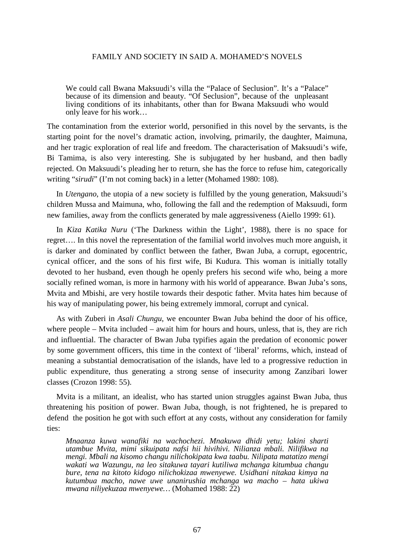We could call Bwana Maksuudi's villa the "Palace of Seclusion". It's a "Palace" because of its dimension and beauty. "Of Seclusion", because of the unpleasant living conditions of its inhabitants, other than for Bwana Maksuudi who would only leave for his work…

The contamination from the exterior world, personified in this novel by the servants, is the starting point for the novel's dramatic action, involving, primarily, the daughter, Maimuna, and her tragic exploration of real life and freedom. The characterisation of Maksuudi's wife, Bi Tamima, is also very interesting. She is subjugated by her husband, and then badly rejected. On Maksuudi's pleading her to return, she has the force to refuse him, categorically writing "*sirudi*" (I'm not coming back) in a letter (Mohamed 1980: 108).

 In *Utengano*, the utopia of a new society is fulfilled by the young generation, Maksuudi's children Mussa and Maimuna, who, following the fall and the redemption of Maksuudi, form new families, away from the conflicts generated by male aggressiveness (Aiello 1999: 61).

 In *Kiza Katika Nuru* ('The Darkness within the Light', 1988), there is no space for regret…. In this novel the representation of the familial world involves much more anguish, it is darker and dominated by conflict between the father, Bwan Juba, a corrupt, egocentric, cynical officer, and the sons of his first wife, Bi Kudura. This woman is initially totally devoted to her husband, even though he openly prefers his second wife who, being a more socially refined woman, is more in harmony with his world of appearance. Bwan Juba's sons, Mvita and Mbishi, are very hostile towards their despotic father. Mvita hates him because of his way of manipulating power, his being extremely immoral, corrupt and cynical.

 As with Zuberi in *Asali Chungu*, we encounter Bwan Juba behind the door of his office, where people – Mvita included – await him for hours and hours, unless, that is, they are rich and influential. The character of Bwan Juba typifies again the predation of economic power by some government officers, this time in the context of 'liberal' reforms, which, instead of meaning a substantial democratisation of the islands, have led to a progressive reduction in public expenditure, thus generating a strong sense of insecurity among Zanzibari lower classes (Crozon 1998: 55).

 Mvita is a militant, an idealist, who has started union struggles against Bwan Juba, thus threatening his position of power. Bwan Juba, though, is not frightened, he is prepared to defend the position he got with such effort at any costs, without any consideration for family ties:

*Mnaanza kuwa wanafiki na wachochezi. Mnakuwa dhidi yetu; lakini sharti utambue Mvita, mimi sikuipata nafsi hii hivihivi. Nilianza mbali. Nilifikwa na mengi. Mbali na kisomo changu nilichokipata kwa taabu. Nilipata matatizo mengi wakati wa Wazungu, na leo sitakuwa tayari kutiliwa mchanga kitumbua changu bure, tena na kitoto kidogo nilichokizaa mwenyewe. Usidhani nitakaa kimya na kutumbua macho, nawe uwe unanirushia mchanga wa macho – hata ukiwa mwana niliyekuzaa mwenyewe…* (Mohamed 1988: 22)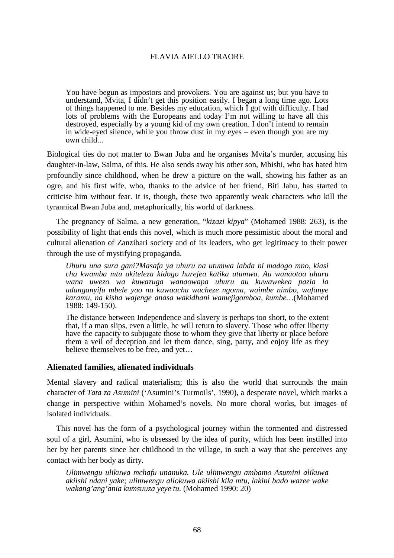You have begun as impostors and provokers. You are against us; but you have to understand, Mvita, I didn't get this position easily. I began a long time ago. Lots of things happened to me. Besides my education, which I got with difficulty. I had lots of problems with the Europeans and today I'm not willing to have all this destroyed, especially by a young kid of my own creation. I don't intend to remain in wide-eyed silence, while you throw dust in my eyes – even though you are my own child...

Biological ties do not matter to Bwan Juba and he organises Mvita's murder, accusing his daughter-in-law, Salma, of this. He also sends away his other son, Mbishi, who has hated him profoundly since childhood, when he drew a picture on the wall, showing his father as an ogre, and his first wife, who, thanks to the advice of her friend, Biti Jabu, has started to criticise him without fear. It is, though, these two apparently weak characters who kill the tyrannical Bwan Juba and, metaphorically, his world of darkness.

 The pregnancy of Salma, a new generation, "*kizazi kipya*" (Mohamed 1988: 263), is the possibility of light that ends this novel, which is much more pessimistic about the moral and cultural alienation of Zanzibari society and of its leaders, who get legitimacy to their power through the use of mystifying propaganda.

*Uhuru una sura gani?Masafa ya uhuru na utumwa labda ni madogo mno, kiasi cha kwamba mtu akiteleza kidogo hurejea katika utumwa. Au wanaotoa uhuru wana uwezo wa kuwazuga wanaowapa uhuru au kuwawekea pazia la udanganyifu mbele yao na kuwaacha wacheze ngoma, waimbe nimbo, wafanye karamu, na kisha wajenge anasa wakidhani wamejigomboa, kumbe…*(Mohamed 1988: 149-150).

The distance between Independence and slavery is perhaps too short, to the extent that, if a man slips, even a little, he will return to slavery. Those who offer liberty have the capacity to subjugate those to whom they give that liberty or place before them a veil of deception and let them dance, sing, party, and enjoy life as they believe themselves to be free, and yet…

# **Alienated families, alienated individuals**

Mental slavery and radical materialism; this is also the world that surrounds the main character of *Tata za Asumini* ('Asumini's Turmoils', 1990), a desperate novel, which marks a change in perspective within Mohamed's novels. No more choral works, but images of isolated individuals.

 This novel has the form of a psychological journey within the tormented and distressed soul of a girl, Asumini, who is obsessed by the idea of purity, which has been instilled into her by her parents since her childhood in the village, in such a way that she perceives any contact with her body as dirty.

*Ulimwengu ulikuwa mchafu unanuka. Ule ulimwengu ambamo Asumini alikuwa akiishi ndani yake; ulimwengu aliokuwa akiishi kila mtu, lakini bado wazee wake wakang'ang'ania kumsuuza yeye tu.* (Mohamed 1990: 20)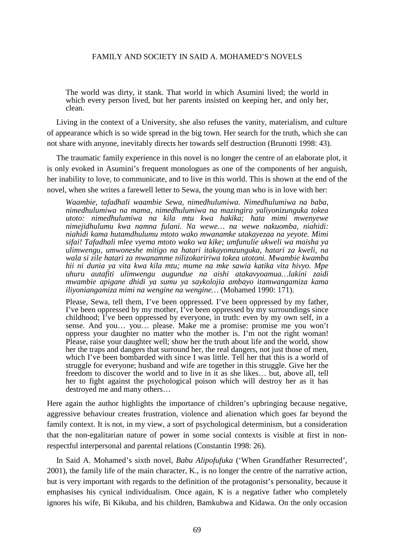The world was dirty, it stank. That world in which Asumini lived; the world in which every person lived, but her parents insisted on keeping her, and only her, clean.

 Living in the context of a University, she also refuses the vanity, materialism, and culture of appearance which is so wide spread in the big town. Her search for the truth, which she can not share with anyone, inevitably directs her towards self destruction (Brunotti 1998: 43).

 The traumatic family experience in this novel is no longer the centre of an elaborate plot, it is only evoked in Asumini's frequent monologues as one of the components of her anguish, her inability to love, to communicate, and to live in this world. This is shown at the end of the novel, when she writes a farewell letter to Sewa, the young man who is in love with her:

*Waambie, tafadhali waambie Sewa, nimedhulumiwa. Nimedhulumiwa na baba, nimedhulumiwa na mama, nimedhulumiwa na mazingira yaliyonizunguka tokea utoto: nimedhulumiwa na kila mtu kwa hakika; hata mimi mwenyewe nimejidhulumu kwa namna fulani. Na wewe… na wewe nakuomba, niahidi: niahidi kama hutamdhulumu mtoto wako mwanamke utakayezaa na yeyote. Mimi sifai! Tafadhali mlee vyema mtoto wako wa kike; umfunulie ukweli wa maisha ya ulimwengu, umwoneshe mitigo na hatari itakayomzunguka, hatari za kweli, na wala si zile hatari za mwanamme nilizokaririwa tokea utotoni. Mwambie kwamba hii ni dunia ya vita kwa kila mtu; mume na mke sawia katika vita hivyo. Mpe uhuru autafiti ulimwengu augundue na aishi atakavyoamua…lakini zaidi mwambie apigane dhidi ya sumu ya saykolojia ambayo itamwangamiza kama iliyoniangamiza mimi na wengine na wengine…* (Mohamed 1990: 171).

Please, Sewa, tell them, I've been oppressed. I've been oppressed by my father, I've been oppressed by my mother, I've been oppressed by my surroundings since childhood; I've been oppressed by everyone, in truth: even by my own self, in a sense. And you… you… please. Make me a promise: promise me you won't oppress your daughter no matter who the mother is. I'm not the right woman! Please, raise your daughter well; show her the truth about life and the world, show her the traps and dangers that surround her, the real dangers, not just those of men, which I've been bombarded with since I was little. Tell her that this is a world of struggle for everyone; husband and wife are together in this struggle. Give her the freedom to discover the world and to live in it as she likes… but, above all, tell her to fight against the psychological poison which will destroy her as it has destroyed me and many others…

Here again the author highlights the importance of children's upbringing because negative, aggressive behaviour creates frustration, violence and alienation which goes far beyond the family context. It is not, in my view, a sort of psychological determinism, but a consideration that the non-egalitarian nature of power in some social contexts is visible at first in nonrespectful interpersonal and parental relations (Constantin 1998: 26).

 In Said A. Mohamed's sixth novel, *Babu Alipofufuka* ('When Grandfather Resurrected', 2001), the family life of the main character, K., is no longer the centre of the narrative action, but is very important with regards to the definition of the protagonist's personality, because it emphasises his cynical individualism. Once again, K is a negative father who completely ignores his wife, Bi Kikuba, and his children, Bamkubwa and Kidawa. On the only occasion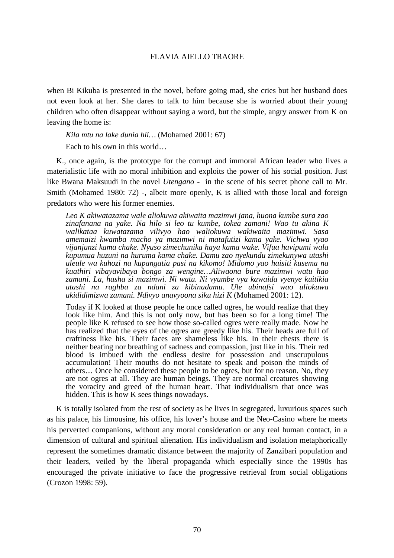when Bi Kikuba is presented in the novel, before going mad, she cries but her husband does not even look at her. She dares to talk to him because she is worried about their young children who often disappear without saying a word, but the simple, angry answer from K on leaving the home is:

*Kila mtu na lake dunia hii…* (Mohamed 2001: 67)

Each to his own in this world…

 K., once again, is the prototype for the corrupt and immoral African leader who lives a materialistic life with no moral inhibition and exploits the power of his social position. Just like Bwana Maksuudi in the novel *Utengano* - in the scene of his secret phone call to Mr. Smith (Mohamed 1980: 72) -, albeit more openly, K is allied with those local and foreign predators who were his former enemies.

*Leo K akiwatazama wale aliokuwa akiwaita mazimwi jana, huona kumbe sura zao zinafanana na yake. Na hilo si leo tu kumbe, tokea zamani! Wao tu akina K walikataa kuwatazama vilivyo hao waliokuwa wakiwaita mazimwi. Sasa amemaizi kwamba macho ya mazimwi ni matafutizi kama yake. Vichwa vyao vijanjunzi kama chake. Nyuso zimechunika haya kama wake. Vifua havipumi wala kupumua huzuni na huruma kama chake. Damu zao nyekundu zimekunywa utashi uleule wa kuhozi na kupangatia pasi na kikomo! Midomo yao haisiti kusema na kuathiri vibayavibaya bongo za wengine…Aliwaona bure mazimwi watu hao zamani. La, hasha si mazimwi. Ni watu. Ni vyumbe vya kawaida vyenye kuitikia utashi na raghba za ndani za kibinadamu. Ule ubinafsi wao uliokuwa ukididimizwa zamani. Ndivyo anavyoona siku hizi K* (Mohamed 2001: 12).

Today if K looked at those people he once called ogres, he would realize that they look like him. And this is not only now, but has been so for a long time! The people like K refused to see how those so-called ogres were really made. Now he has realized that the eyes of the ogres are greedy like his. Their heads are full of craftiness like his. Their faces are shameless like his. In their chests there is neither beating nor breathing of sadness and compassion, just like in his. Their red blood is imbued with the endless desire for possession and unscrupulous accumulation! Their mouths do not hesitate to speak and poison the minds of others… Once he considered these people to be ogres, but for no reason. No, they are not ogres at all. They are human beings. They are normal creatures showing the voracity and greed of the human heart. That individualism that once was hidden. This is how K sees things nowadays.

K is totally isolated from the rest of society as he lives in segregated, luxurious spaces such as his palace, his limousine, his office, his lover's house and the Neo-Casino where he meets his perverted companions, without any moral consideration or any real human contact, in a dimension of cultural and spiritual alienation. His individualism and isolation metaphorically represent the sometimes dramatic distance between the majority of Zanzibari population and their leaders, veiled by the liberal propaganda which especially since the 1990s has encouraged the private initiative to face the progressive retrieval from social obligations (Crozon 1998: 59).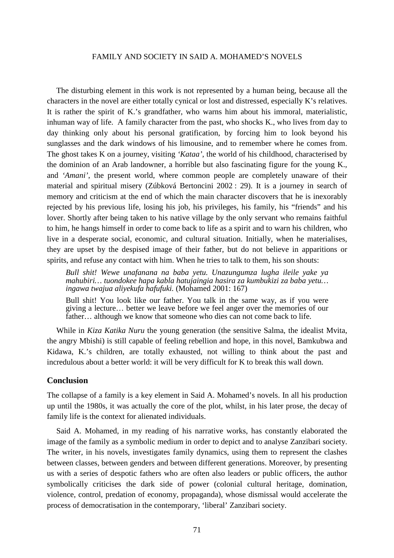The disturbing element in this work is not represented by a human being, because all the characters in the novel are either totally cynical or lost and distressed, especially K's relatives. It is rather the spirit of K.'s grandfather, who warns him about his immoral, materialistic, inhuman way of life. A family character from the past, who shocks K., who lives from day to day thinking only about his personal gratification, by forcing him to look beyond his sunglasses and the dark windows of his limousine, and to remember where he comes from. The ghost takes K on a journey, visiting *'Kataa'*, the world of his childhood, characterised by the dominion of an Arab landowner, a horrible but also fascinating figure for the young K., and *'Amani'*, the present world, where common people are completely unaware of their material and spiritual misery (Zúbková Bertoncini 2002 : 29). It is a journey in search of memory and criticism at the end of which the main character discovers that he is inexorably rejected by his previous life, losing his job, his privileges, his family, his "friends" and his lover. Shortly after being taken to his native village by the only servant who remains faithful to him, he hangs himself in order to come back to life as a spirit and to warn his children, who live in a desperate social, economic, and cultural situation. Initially, when he materialises, they are upset by the despised image of their father, but do not believe in apparitions or spirits, and refuse any contact with him. When he tries to talk to them, his son shouts:

*Bull shit! Wewe unafanana na baba yetu. Unazungumza lugha ileile yake ya mahubiri… tuondokee hapa kabla hatujaingia hasira za kumbukizi za baba yetu… ingawa twajua aliyekufa hafufuki.* (Mohamed 2001: 167)

Bull shit! You look like our father. You talk in the same way, as if you were giving a lecture… better we leave before we feel anger over the memories of our father… although we know that someone who dies can not come back to life.

 While in *Kiza Katika Nuru* the young generation (the sensitive Salma, the idealist Mvita, the angry Mbishi) is still capable of feeling rebellion and hope, in this novel, Bamkubwa and Kidawa, K.'s children, are totally exhausted, not willing to think about the past and incredulous about a better world: it will be very difficult for K to break this wall down.

#### **Conclusion**

The collapse of a family is a key element in Said A. Mohamed's novels. In all his production up until the 1980s, it was actually the core of the plot, whilst, in his later prose, the decay of family life is the context for alienated individuals.

 Said A. Mohamed, in my reading of his narrative works, has constantly elaborated the image of the family as a symbolic medium in order to depict and to analyse Zanzibari society. The writer, in his novels, investigates family dynamics, using them to represent the clashes between classes, between genders and between different generations. Moreover, by presenting us with a series of despotic fathers who are often also leaders or public officers, the author symbolically criticises the dark side of power (colonial cultural heritage, domination, violence, control, predation of economy, propaganda), whose dismissal would accelerate the process of democratisation in the contemporary, 'liberal' Zanzibari society.